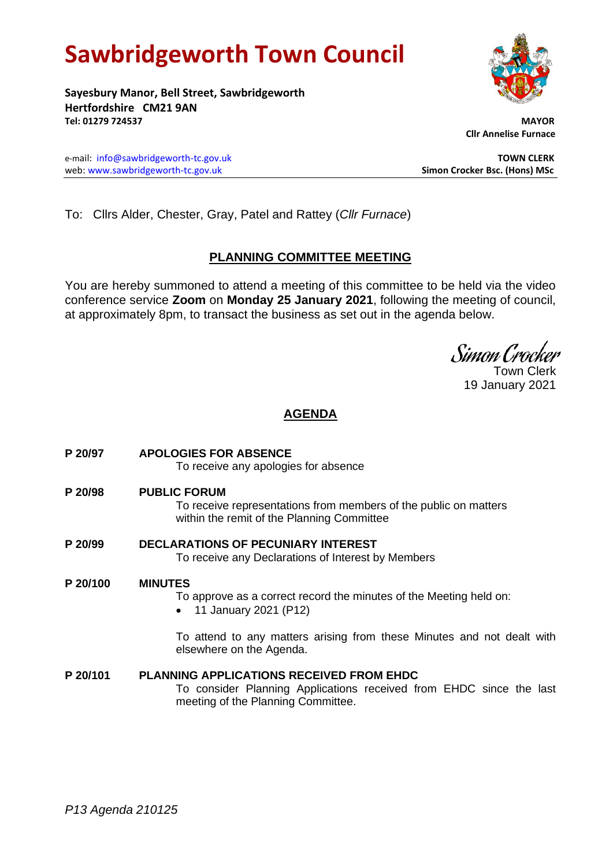# **Sawbridgeworth Town Council**

**Sayesbury Manor, Bell Street, Sawbridgeworth Hertfordshire CM21 9AN Tel: 01279 724537 MAYOR**

e-mail: [info@sawbridgeworth-tc.gov.uk](mailto:info@sawbridgeworth-tc.gov.uk) **TOWN CLERK** web: www.sawbridgeworth-tc.gov.uk **Simon Crocker Bsc. (Hons) MSc**

 **Cllr Annelise Furnace**

To: Cllrs Alder, Chester, Gray, Patel and Rattey (*Cllr Furnace*)

# **PLANNING COMMITTEE MEETING**

You are hereby summoned to attend a meeting of this committee to be held via the video conference service **Zoom** on **Monday 25 January 2021**, following the meeting of council, at approximately 8pm, to transact the business as set out in the agenda below.

Simon Crocker

Town Clerk 19 January 2021

# **AGENDA**

| P 20/97  | <b>APOLOGIES FOR ABSENCE</b><br>To receive any apologies for absence                                                                                         |
|----------|--------------------------------------------------------------------------------------------------------------------------------------------------------------|
| P 20/98  | <b>PUBLIC FORUM</b><br>To receive representations from members of the public on matters<br>within the remit of the Planning Committee                        |
| P 20/99  | <b>DECLARATIONS OF PECUNIARY INTEREST</b><br>To receive any Declarations of Interest by Members                                                              |
| P 20/100 | <b>MINUTES</b><br>To approve as a correct record the minutes of the Meeting held on:<br>11 January 2021 (P12)                                                |
|          | To attend to any matters arising from these Minutes and not dealt with<br>elsewhere on the Agenda.                                                           |
| P 20/101 | <b>PLANNING APPLICATIONS RECEIVED FROM EHDC</b><br>To consider Planning Applications received from EHDC since the last<br>meeting of the Planning Committee. |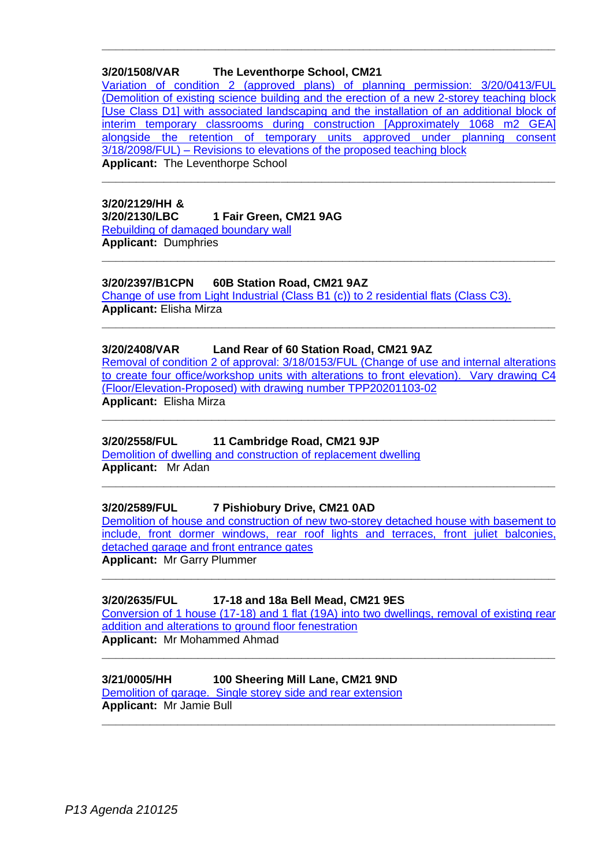# **3/20/1508/VAR The Leventhorpe School, CM21**

[Variation of condition 2 \(approved plans\) of planning permission: 3/20/0413/FUL](https://publicaccess.eastherts.gov.uk/online-applications/applicationDetails.do?activeTab=documents&keyVal=QEP8IQGLHYL00)  [\(Demolition of existing science building and the erection of a new 2-storey teaching block](https://publicaccess.eastherts.gov.uk/online-applications/applicationDetails.do?activeTab=documents&keyVal=QEP8IQGLHYL00)  [\[Use Class D1\] with associated landscaping and the installation of an additional block](https://publicaccess.eastherts.gov.uk/online-applications/applicationDetails.do?activeTab=documents&keyVal=QEP8IQGLHYL00) of [interim temporary classrooms during construction \[Approximately 1068 m2 GEA\]](https://publicaccess.eastherts.gov.uk/online-applications/applicationDetails.do?activeTab=documents&keyVal=QEP8IQGLHYL00)  [alongside the retention of temporary units approved under planning consent](https://publicaccess.eastherts.gov.uk/online-applications/applicationDetails.do?activeTab=documents&keyVal=QEP8IQGLHYL00)  3/18/2098/FUL) – [Revisions to elevations of the proposed teaching block](https://publicaccess.eastherts.gov.uk/online-applications/applicationDetails.do?activeTab=documents&keyVal=QEP8IQGLHYL00) **Applicant:** The Leventhorpe School

**\_\_\_\_\_\_\_\_\_\_\_\_\_\_\_\_\_\_\_\_\_\_\_\_\_\_\_\_\_\_\_\_\_\_\_\_\_\_\_\_\_\_\_\_\_\_\_\_\_\_\_\_\_\_\_\_\_\_\_\_\_\_\_\_\_\_**

**\_\_\_\_\_\_\_\_\_\_\_\_\_\_\_\_\_\_\_\_\_\_\_\_\_\_\_\_\_\_\_\_\_\_\_\_\_\_\_\_\_\_\_\_\_\_\_\_\_\_\_\_\_\_\_\_\_\_\_\_\_\_\_\_\_\_**

**\_\_\_\_\_\_\_\_\_\_\_\_\_\_\_\_\_\_\_\_\_\_\_\_\_\_\_\_\_\_\_\_\_\_\_\_\_\_\_\_\_\_\_\_\_\_\_\_\_\_\_\_\_\_\_\_\_\_\_\_\_\_\_\_\_\_**

**\_\_\_\_\_\_\_\_\_\_\_\_\_\_\_\_\_\_\_\_\_\_\_\_\_\_\_\_\_\_\_\_\_\_\_\_\_\_\_\_\_\_\_\_\_\_\_\_\_\_\_\_\_\_\_\_\_\_\_\_\_\_\_\_\_\_**

#### **3/20/2129/HH & 3/20/2130/LBC 1 Fair Green, CM21 9AG** [Rebuilding of damaged boundary wall](https://publicaccess.eastherts.gov.uk/online-applications/applicationDetails.do?activeTab=documents&keyVal=QJ08X2GLJ7000) **Applicant:** Dumphries

#### **3/20/2397/B1CPN 60B Station Road, CM21 9AZ**

[Change of use from Light Industrial \(Class B1 \(c\)\)](https://publicaccess.eastherts.gov.uk/online-applications/applicationDetails.do?activeTab=documents&keyVal=QKLPK1GL04O00) to 2 residential flats (Class C3). **Applicant:** Elisha Mirza

#### **3/20/2408/VAR Land Rear of 60 Station Road, CM21 9AZ**

[Removal of condition 2 of approval: 3/18/0153/FUL \(Change of use and internal alterations](https://publicaccess.eastherts.gov.uk/online-applications/applicationDetails.do?activeTab=documents&keyVal=QKNID3GLJQD00)  to create four office/workshop units with [alterations to front elevation\). Vary drawing C4](https://publicaccess.eastherts.gov.uk/online-applications/applicationDetails.do?activeTab=documents&keyVal=QKNID3GLJQD00)  [\(Floor/Elevation-Proposed\) with drawing number TPP20201103-02](https://publicaccess.eastherts.gov.uk/online-applications/applicationDetails.do?activeTab=documents&keyVal=QKNID3GLJQD00) **Applicant:** Elisha Mirza

**\_\_\_\_\_\_\_\_\_\_\_\_\_\_\_\_\_\_\_\_\_\_\_\_\_\_\_\_\_\_\_\_\_\_\_\_\_\_\_\_\_\_\_\_\_\_\_\_\_\_\_\_\_\_\_\_\_\_\_\_\_\_\_\_\_\_**

#### **3/20/2558/FUL 11 Cambridge Road, CM21 9JP**

[Demolition of dwelling and construction of replacement dwelling](https://publicaccess.eastherts.gov.uk/online-applications/applicationDetails.do?activeTab=documents&keyVal=QLH526GLK0Q00) **Applicant:** Mr Adan

#### **3/20/2589/FUL 7 Pishiobury Drive, CM21 0AD**

Demolition of house and construction of new [two-storey detached house with basement to](https://publicaccess.eastherts.gov.uk/online-applications/applicationDetails.do?activeTab=documents&keyVal=QLKU8RGLK2H00)  [include, front dormer windows, rear roof lights and terraces, front juliet](https://publicaccess.eastherts.gov.uk/online-applications/applicationDetails.do?activeTab=documents&keyVal=QLKU8RGLK2H00) balconies, detached [garage and front entrance gates](https://publicaccess.eastherts.gov.uk/online-applications/applicationDetails.do?activeTab=documents&keyVal=QLKU8RGLK2H00)

**\_\_\_\_\_\_\_\_\_\_\_\_\_\_\_\_\_\_\_\_\_\_\_\_\_\_\_\_\_\_\_\_\_\_\_\_\_\_\_\_\_\_\_\_\_\_\_\_\_\_\_\_\_\_\_\_\_\_\_\_\_\_\_\_\_\_**

**Applicant:** Mr Garry Plummer **\_\_\_\_\_\_\_\_\_\_\_\_\_\_\_\_\_\_\_\_\_\_\_\_\_\_\_\_\_\_\_\_\_\_\_\_\_\_\_\_\_\_\_\_\_\_\_\_\_\_\_\_\_\_\_\_\_\_\_\_\_\_\_\_\_\_**

#### **3/20/2635/FUL 17-18 and 18a Bell Mead, CM21 9ES**

[Conversion of 1 house \(17-18\) and 1 flat \(19A\) into](https://publicaccess.eastherts.gov.uk/online-applications/applicationDetails.do?activeTab=documents&keyVal=QLUPV6GLK5M00) two dwellings, removal of existing rear [addition and alterations to ground floor fenestration](https://publicaccess.eastherts.gov.uk/online-applications/applicationDetails.do?activeTab=documents&keyVal=QLUPV6GLK5M00) **Applicant:** Mr Mohammed Ahmad

**\_\_\_\_\_\_\_\_\_\_\_\_\_\_\_\_\_\_\_\_\_\_\_\_\_\_\_\_\_\_\_\_\_\_\_\_\_\_\_\_\_\_\_\_\_\_\_\_\_\_\_\_\_\_\_\_\_\_\_\_\_\_\_\_\_\_**

**\_\_\_\_\_\_\_\_\_\_\_\_\_\_\_\_\_\_\_\_\_\_\_\_\_\_\_\_\_\_\_\_\_\_\_\_\_\_\_\_\_\_\_\_\_\_\_\_\_\_\_\_\_\_\_\_\_\_\_\_\_\_\_\_\_\_**

#### **3/21/0005/HH 100 Sheering Mill Lane, CM21 9ND** [Demolition of garage. Single storey side and rear extension](https://publicaccess.eastherts.gov.uk/online-applications/applicationDetails.do?activeTab=documents&keyVal=QMCXDFGLK7O00)

**Applicant:** Mr Jamie Bull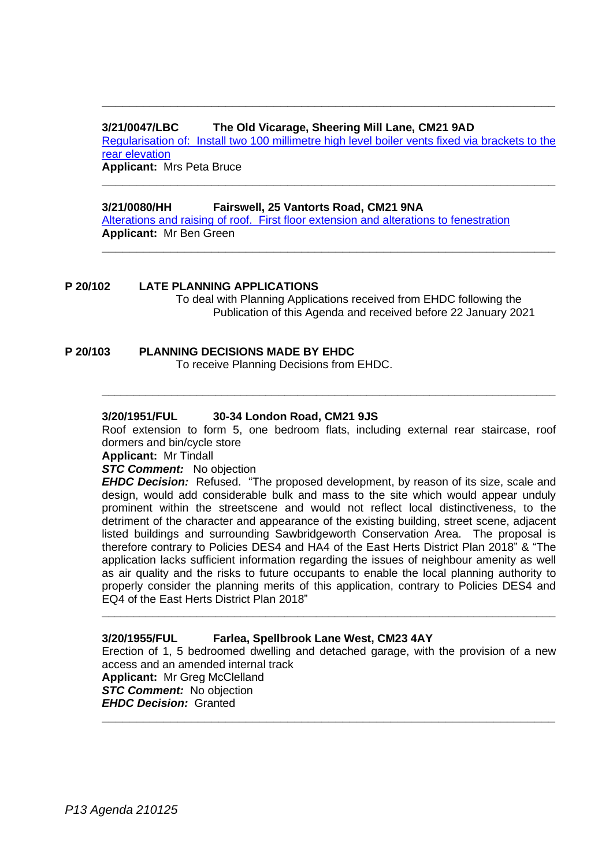### **3/21/0047/LBC The Old Vicarage, Sheering Mill Lane, CM21 9AD**

Regularisation of: Install two 100 [millimetre high level boiler vents fixed via brackets to the](https://publicaccess.eastherts.gov.uk/online-applications/applicationDetails.do?activeTab=documents&keyVal=QMMHWMGLKB000)  [rear elevation](https://publicaccess.eastherts.gov.uk/online-applications/applicationDetails.do?activeTab=documents&keyVal=QMMHWMGLKB000)

**\_\_\_\_\_\_\_\_\_\_\_\_\_\_\_\_\_\_\_\_\_\_\_\_\_\_\_\_\_\_\_\_\_\_\_\_\_\_\_\_\_\_\_\_\_\_\_\_\_\_\_\_\_\_\_\_\_\_\_\_\_\_\_\_\_\_**

**\_\_\_\_\_\_\_\_\_\_\_\_\_\_\_\_\_\_\_\_\_\_\_\_\_\_\_\_\_\_\_\_\_\_\_\_\_\_\_\_\_\_\_\_\_\_\_\_\_\_\_\_\_\_\_\_\_\_\_\_\_\_\_\_\_\_**

**\_\_\_\_\_\_\_\_\_\_\_\_\_\_\_\_\_\_\_\_\_\_\_\_\_\_\_\_\_\_\_\_\_\_\_\_\_\_\_\_\_\_\_\_\_\_\_\_\_\_\_\_\_\_\_\_\_\_\_\_\_\_\_\_\_\_**

**Applicant:** Mrs Peta Bruce

## **3/21/0080/HH Fairswell, 25 Vantorts Road, CM21 9NA**

[Alterations and raising of roof. First floor extension and alterations to fenestration](https://publicaccess.eastherts.gov.uk/online-applications/applicationDetails.do?activeTab=documents&keyVal=QMWYZKGL00X00) **Applicant:** Mr Ben Green

# **P 20/102 LATE PLANNING APPLICATIONS**

To deal with Planning Applications received from EHDC following the Publication of this Agenda and received before 22 January 2021

# **P 20/103 PLANNING DECISIONS MADE BY EHDC**

To receive Planning Decisions from EHDC.

# **3/20/1951/FUL 30-34 London Road, CM21 9JS**

Roof extension to form 5, one bedroom flats, including external rear staircase, roof dormers and bin/cycle store

**\_\_\_\_\_\_\_\_\_\_\_\_\_\_\_\_\_\_\_\_\_\_\_\_\_\_\_\_\_\_\_\_\_\_\_\_\_\_\_\_\_\_\_\_\_\_\_\_\_\_\_\_\_\_\_\_\_\_\_\_\_\_\_\_\_\_\_\_\_\_\_\_**

**Applicant:** Mr Tindall

**STC Comment:** No objection

*EHDC Decision:* Refused. "The proposed development, by reason of its size, scale and design, would add considerable bulk and mass to the site which would appear unduly prominent within the streetscene and would not reflect local distinctiveness, to the detriment of the character and appearance of the existing building, street scene, adjacent listed buildings and surrounding Sawbridgeworth Conservation Area. The proposal is therefore contrary to Policies DES4 and HA4 of the East Herts District Plan 2018" & "The application lacks sufficient information regarding the issues of neighbour amenity as well as air quality and the risks to future occupants to enable the local planning authority to properly consider the planning merits of this application, contrary to Policies DES4 and EQ4 of the East Herts District Plan 2018"

## **3/20/1955/FUL Farlea, Spellbrook Lane West, CM23 4AY**

Erection of 1, 5 bedroomed dwelling and detached garage, with the provision of a new access and an amended internal track **Applicant:** Mr Greg McClelland *STC Comment:* No objection *EHDC Decision:* Granted **\_\_\_\_\_\_\_\_\_\_\_\_\_\_\_\_\_\_\_\_\_\_\_\_\_\_\_\_\_\_\_\_\_\_\_\_\_\_\_\_\_\_\_\_\_\_\_\_\_\_\_\_\_\_\_\_\_\_\_\_\_\_\_\_\_\_**

**\_\_\_\_\_\_\_\_\_\_\_\_\_\_\_\_\_\_\_\_\_\_\_\_\_\_\_\_\_\_\_\_\_\_\_\_\_\_\_\_\_\_\_\_\_\_\_\_\_\_\_\_\_\_\_\_\_\_\_\_\_\_\_\_\_\_\_\_\_\_\_\_**